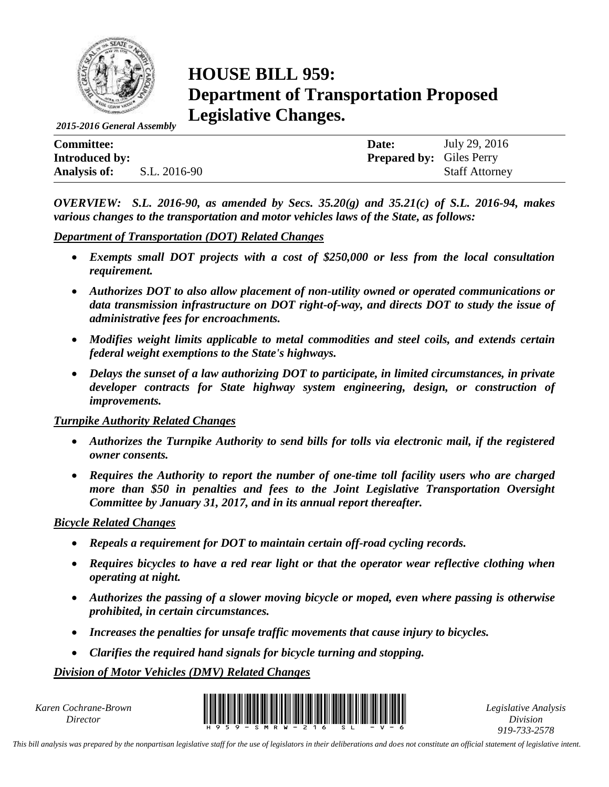

# **HOUSE BILL 959: Department of Transportation Proposed Legislative Changes.**

*2015-2016 General Assembly*

| <b>Committee:</b>     |              | Date:                           | July 29, 2016         |
|-----------------------|--------------|---------------------------------|-----------------------|
| <b>Introduced by:</b> |              | <b>Prepared by:</b> Giles Perry |                       |
| Analysis of:          | S.L. 2016-90 |                                 | <b>Staff Attorney</b> |

*OVERVIEW: S.L. 2016-90, as amended by Secs. 35.20(g) and 35.21(c) of S.L. 2016-94, makes various changes to the transportation and motor vehicles laws of the State, as follows:*

#### *Department of Transportation (DOT) Related Changes*

- *Exempts small DOT projects with a cost of \$250,000 or less from the local consultation requirement.*
- *Authorizes DOT to also allow placement of non-utility owned or operated communications or data transmission infrastructure on DOT right-of-way, and directs DOT to study the issue of administrative fees for encroachments.*
- *Modifies weight limits applicable to metal commodities and steel coils, and extends certain federal weight exemptions to the State's highways.*
- *Delays the sunset of a law authorizing DOT to participate, in limited circumstances, in private developer contracts for State highway system engineering, design, or construction of improvements.*

### *Turnpike Authority Related Changes*

- *Authorizes the Turnpike Authority to send bills for tolls via electronic mail, if the registered owner consents.*
- *Requires the Authority to report the number of one-time toll facility users who are charged more than \$50 in penalties and fees to the Joint Legislative Transportation Oversight Committee by January 31, 2017, and in its annual report thereafter.*

### *Bicycle Related Changes*

- *Repeals a requirement for DOT to maintain certain off-road cycling records.*
- *Requires bicycles to have a red rear light or that the operator wear reflective clothing when operating at night.*
- *Authorizes the passing of a slower moving bicycle or moped, even where passing is otherwise prohibited, in certain circumstances.*
- *Increases the penalties for unsafe traffic movements that cause injury to bicycles.*
- *Clarifies the required hand signals for bicycle turning and stopping.*

### *Division of Motor Vehicles (DMV) Related Changes*

*Karen Cochrane-Brown*



*Legislative Analysis Division 919-733-2578*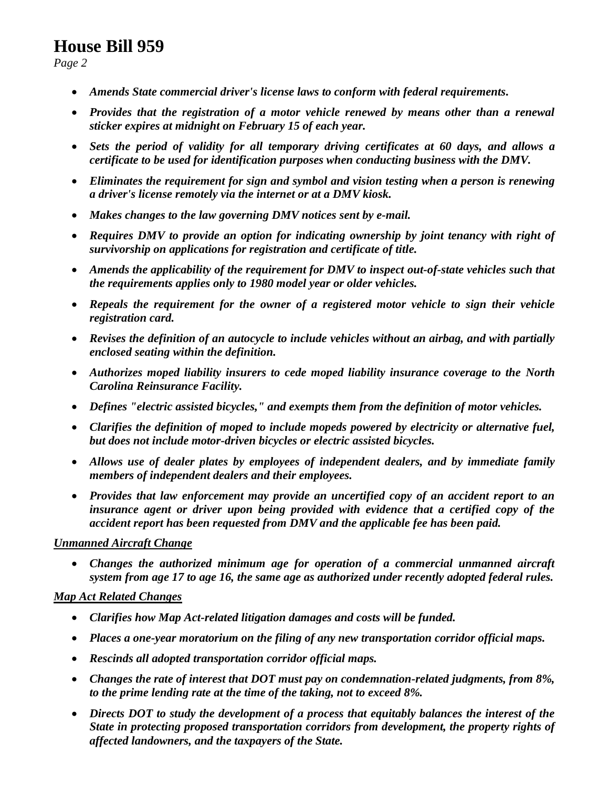*Page 2*

- *Amends State commercial driver's license laws to conform with federal requirements.*
- *Provides that the registration of a motor vehicle renewed by means other than a renewal sticker expires at midnight on February 15 of each year.*
- *Sets the period of validity for all temporary driving certificates at 60 days, and allows a certificate to be used for identification purposes when conducting business with the DMV.*
- *Eliminates the requirement for sign and symbol and vision testing when a person is renewing a driver's license remotely via the internet or at a DMV kiosk.*
- *Makes changes to the law governing DMV notices sent by e-mail.*
- *Requires DMV to provide an option for indicating ownership by joint tenancy with right of survivorship on applications for registration and certificate of title.*
- *Amends the applicability of the requirement for DMV to inspect out-of-state vehicles such that the requirements applies only to 1980 model year or older vehicles.*
- *Repeals the requirement for the owner of a registered motor vehicle to sign their vehicle registration card.*
- *Revises the definition of an autocycle to include vehicles without an airbag, and with partially enclosed seating within the definition.*
- *Authorizes moped liability insurers to cede moped liability insurance coverage to the North Carolina Reinsurance Facility.*
- *Defines "electric assisted bicycles," and exempts them from the definition of motor vehicles.*
- *Clarifies the definition of moped to include mopeds powered by electricity or alternative fuel, but does not include motor-driven bicycles or electric assisted bicycles.*
- *Allows use of dealer plates by employees of independent dealers, and by immediate family members of independent dealers and their employees.*
- *Provides that law enforcement may provide an uncertified copy of an accident report to an insurance agent or driver upon being provided with evidence that a certified copy of the accident report has been requested from DMV and the applicable fee has been paid.*

### *Unmanned Aircraft Change*

 *Changes the authorized minimum age for operation of a commercial unmanned aircraft system from age 17 to age 16, the same age as authorized under recently adopted federal rules.*

### *Map Act Related Changes*

- *Clarifies how Map Act-related litigation damages and costs will be funded.*
- *Places a one-year moratorium on the filing of any new transportation corridor official maps.*
- *Rescinds all adopted transportation corridor official maps.*
- *Changes the rate of interest that DOT must pay on condemnation-related judgments, from 8%, to the prime lending rate at the time of the taking, not to exceed 8%.*
- *Directs DOT to study the development of a process that equitably balances the interest of the State in protecting proposed transportation corridors from development, the property rights of affected landowners, and the taxpayers of the State.*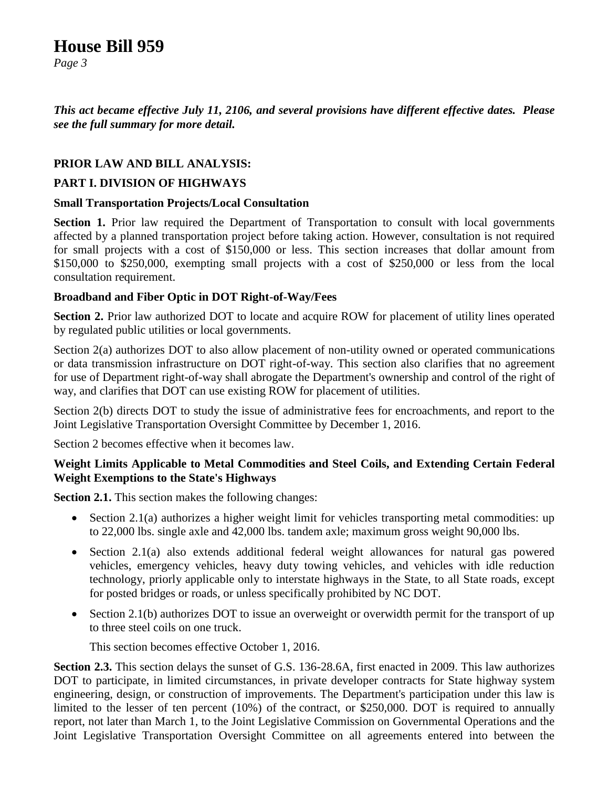*Page 3*

*This act became effective July 11, 2106, and several provisions have different effective dates. Please see the full summary for more detail.*

### **PRIOR LAW AND BILL ANALYSIS:**

### **PART I. DIVISION OF HIGHWAYS**

### **Small Transportation Projects/Local Consultation**

**Section 1.** Prior law required the Department of Transportation to consult with local governments affected by a planned transportation project before taking action. However, consultation is not required for small projects with a cost of \$150,000 or less. This section increases that dollar amount from \$150,000 to \$250,000, exempting small projects with a cost of \$250,000 or less from the local consultation requirement.

### **Broadband and Fiber Optic in DOT Right-of-Way/Fees**

**Section 2.** Prior law authorized DOT to locate and acquire ROW for placement of utility lines operated by regulated public utilities or local governments.

Section 2(a) authorizes DOT to also allow placement of non-utility owned or operated communications or data transmission infrastructure on DOT right-of-way. This section also clarifies that no agreement for use of Department right-of-way shall abrogate the Department's ownership and control of the right of way, and clarifies that DOT can use existing ROW for placement of utilities.

Section 2(b) directs DOT to study the issue of administrative fees for encroachments, and report to the Joint Legislative Transportation Oversight Committee by December 1, 2016.

Section 2 becomes effective when it becomes law.

### **Weight Limits Applicable to Metal Commodities and Steel Coils, and Extending Certain Federal Weight Exemptions to the State's Highways**

**Section 2.1.** This section makes the following changes:

- Section 2.1(a) authorizes a higher weight limit for vehicles transporting metal commodities: up to 22,000 lbs. single axle and 42,000 lbs. tandem axle; maximum gross weight 90,000 lbs.
- Section 2.1(a) also extends additional federal weight allowances for natural gas powered vehicles, emergency vehicles, heavy duty towing vehicles, and vehicles with idle reduction technology, priorly applicable only to interstate highways in the State, to all State roads, except for posted bridges or roads, or unless specifically prohibited by NC DOT.
- Section 2.1(b) authorizes DOT to issue an overweight or overwidth permit for the transport of up to three steel coils on one truck.

This section becomes effective October 1, 2016.

**Section 2.3.** This section delays the sunset of G.S. 136-28.6A, first enacted in 2009. This law authorizes DOT to participate, in limited circumstances, in private developer contracts for State highway system engineering, design, or construction of improvements. The Department's participation under this law is limited to the lesser of ten percent (10%) of the contract, or \$250,000. DOT is required to annually report, not later than March 1, to the Joint Legislative Commission on Governmental Operations and the Joint Legislative Transportation Oversight Committee on all agreements entered into between the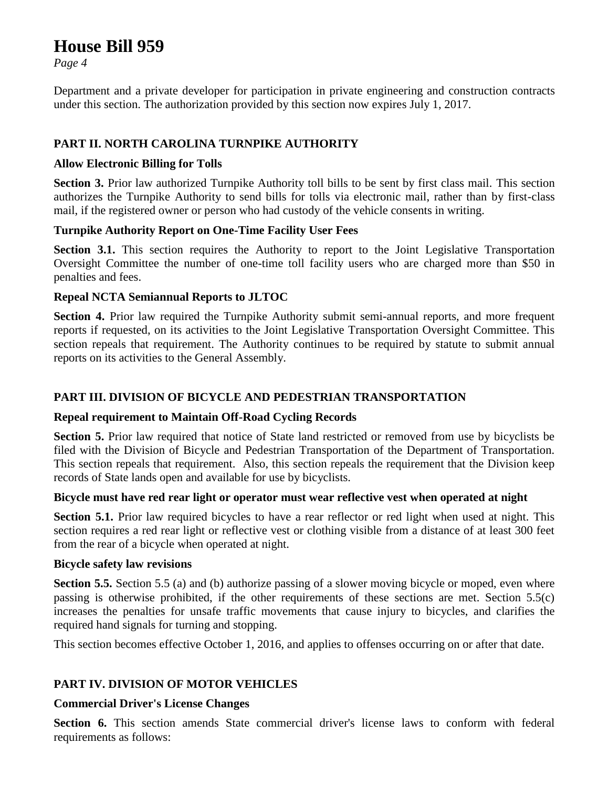*Page 4*

Department and a private developer for participation in private engineering and construction contracts under this section. The authorization provided by this section now expires July 1, 2017.

### **PART II. NORTH CAROLINA TURNPIKE AUTHORITY**

### **Allow Electronic Billing for Tolls**

**Section 3.** Prior law authorized Turnpike Authority toll bills to be sent by first class mail. This section authorizes the Turnpike Authority to send bills for tolls via electronic mail, rather than by first-class mail, if the registered owner or person who had custody of the vehicle consents in writing.

### **Turnpike Authority Report on One-Time Facility User Fees**

**Section 3.1.** This section requires the Authority to report to the Joint Legislative Transportation Oversight Committee the number of one-time toll facility users who are charged more than \$50 in penalties and fees.

### **Repeal NCTA Semiannual Reports to JLTOC**

**Section 4.** Prior law required the Turnpike Authority submit semi-annual reports, and more frequent reports if requested, on its activities to the Joint Legislative Transportation Oversight Committee. This section repeals that requirement. The Authority continues to be required by statute to submit annual reports on its activities to the General Assembly.

### **PART III. DIVISION OF BICYCLE AND PEDESTRIAN TRANSPORTATION**

### **Repeal requirement to Maintain Off-Road Cycling Records**

**Section 5.** Prior law required that notice of State land restricted or removed from use by bicyclists be filed with the Division of Bicycle and Pedestrian Transportation of the Department of Transportation. This section repeals that requirement. Also, this section repeals the requirement that the Division keep records of State lands open and available for use by bicyclists.

### **Bicycle must have red rear light or operator must wear reflective vest when operated at night**

**Section 5.1.** Prior law required bicycles to have a rear reflector or red light when used at night. This section requires a red rear light or reflective vest or clothing visible from a distance of at least 300 feet from the rear of a bicycle when operated at night.

### **Bicycle safety law revisions**

**Section 5.5.** Section 5.5 (a) and (b) authorize passing of a slower moving bicycle or moped, even where passing is otherwise prohibited, if the other requirements of these sections are met. Section 5.5(c) increases the penalties for unsafe traffic movements that cause injury to bicycles, and clarifies the required hand signals for turning and stopping.

This section becomes effective October 1, 2016, and applies to offenses occurring on or after that date.

### **PART IV. DIVISION OF MOTOR VEHICLES**

### **Commercial Driver's License Changes**

**Section 6.** This section amends State commercial driver's license laws to conform with federal requirements as follows: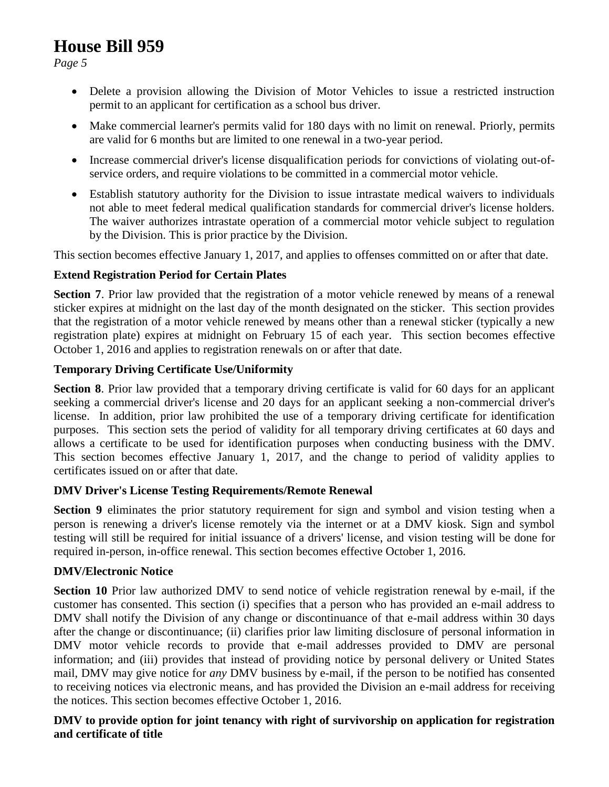*Page 5*

- Delete a provision allowing the Division of Motor Vehicles to issue a restricted instruction permit to an applicant for certification as a school bus driver.
- Make commercial learner's permits valid for 180 days with no limit on renewal. Priorly, permits are valid for 6 months but are limited to one renewal in a two-year period.
- Increase commercial driver's license disqualification periods for convictions of violating out-ofservice orders, and require violations to be committed in a commercial motor vehicle.
- Establish statutory authority for the Division to issue intrastate medical waivers to individuals not able to meet federal medical qualification standards for commercial driver's license holders. The waiver authorizes intrastate operation of a commercial motor vehicle subject to regulation by the Division. This is prior practice by the Division.

This section becomes effective January 1, 2017, and applies to offenses committed on or after that date.

### **Extend Registration Period for Certain Plates**

**Section 7**. Prior law provided that the registration of a motor vehicle renewed by means of a renewal sticker expires at midnight on the last day of the month designated on the sticker. This section provides that the registration of a motor vehicle renewed by means other than a renewal sticker (typically a new registration plate) expires at midnight on February 15 of each year. This section becomes effective October 1, 2016 and applies to registration renewals on or after that date.

### **Temporary Driving Certificate Use/Uniformity**

**Section 8.** Prior law provided that a temporary driving certificate is valid for 60 days for an applicant seeking a commercial driver's license and 20 days for an applicant seeking a non-commercial driver's license. In addition, prior law prohibited the use of a temporary driving certificate for identification purposes. This section sets the period of validity for all temporary driving certificates at 60 days and allows a certificate to be used for identification purposes when conducting business with the DMV. This section becomes effective January 1, 2017, and the change to period of validity applies to certificates issued on or after that date.

### **DMV Driver's License Testing Requirements/Remote Renewal**

**Section 9** eliminates the prior statutory requirement for sign and symbol and vision testing when a person is renewing a driver's license remotely via the internet or at a DMV kiosk. Sign and symbol testing will still be required for initial issuance of a drivers' license, and vision testing will be done for required in-person, in-office renewal. This section becomes effective October 1, 2016.

### **DMV/Electronic Notice**

**Section 10** Prior law authorized DMV to send notice of vehicle registration renewal by e-mail, if the customer has consented. This section (i) specifies that a person who has provided an e-mail address to DMV shall notify the Division of any change or discontinuance of that e-mail address within 30 days after the change or discontinuance; (ii) clarifies prior law limiting disclosure of personal information in DMV motor vehicle records to provide that e-mail addresses provided to DMV are personal information; and (iii) provides that instead of providing notice by personal delivery or United States mail, DMV may give notice for *any* DMV business by e-mail, if the person to be notified has consented to receiving notices via electronic means, and has provided the Division an e-mail address for receiving the notices. This section becomes effective October 1, 2016.

### **DMV to provide option for joint tenancy with right of survivorship on application for registration and certificate of title**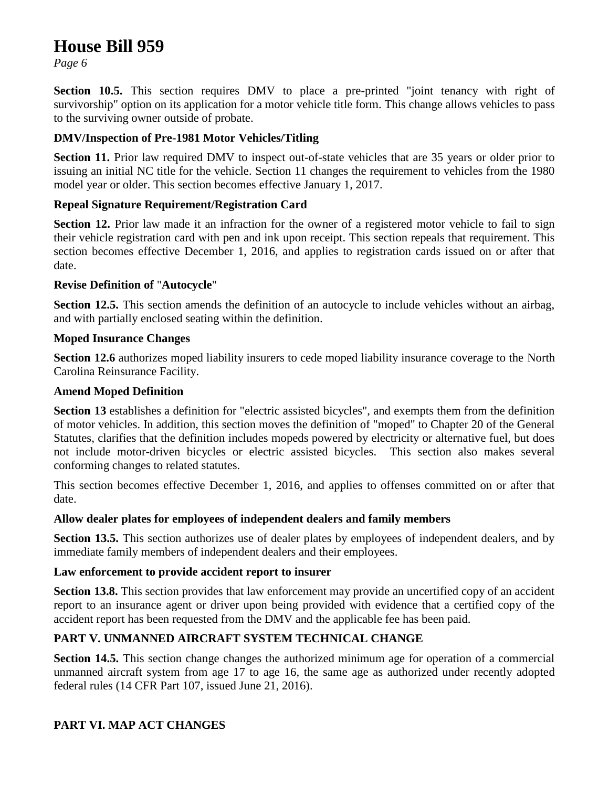*Page 6*

**Section 10.5.** This section requires DMV to place a pre-printed "joint tenancy with right of survivorship" option on its application for a motor vehicle title form. This change allows vehicles to pass to the surviving owner outside of probate.

### **DMV/Inspection of Pre-1981 Motor Vehicles/Titling**

**Section 11.** Prior law required DMV to inspect out-of-state vehicles that are 35 years or older prior to issuing an initial NC title for the vehicle. Section 11 changes the requirement to vehicles from the 1980 model year or older. This section becomes effective January 1, 2017.

### **Repeal Signature Requirement/Registration Card**

**Section 12.** Prior law made it an infraction for the owner of a registered motor vehicle to fail to sign their vehicle registration card with pen and ink upon receipt. This section repeals that requirement. This section becomes effective December 1, 2016, and applies to registration cards issued on or after that date.

### **Revise Definition of** "**Autocycle**"

**Section 12.5.** This section amends the definition of an autocycle to include vehicles without an airbag, and with partially enclosed seating within the definition.

### **Moped Insurance Changes**

**Section 12.6** authorizes moped liability insurers to cede moped liability insurance coverage to the North Carolina Reinsurance Facility.

### **Amend Moped Definition**

**Section 13** establishes a definition for "electric assisted bicycles", and exempts them from the definition of motor vehicles. In addition, this section moves the definition of "moped" to Chapter 20 of the General Statutes, clarifies that the definition includes mopeds powered by electricity or alternative fuel, but does not include motor-driven bicycles or electric assisted bicycles. This section also makes several conforming changes to related statutes.

This section becomes effective December 1, 2016, and applies to offenses committed on or after that date.

### **Allow dealer plates for employees of independent dealers and family members**

**Section 13.5.** This section authorizes use of dealer plates by employees of independent dealers, and by immediate family members of independent dealers and their employees.

### **Law enforcement to provide accident report to insurer**

**Section 13.8.** This section provides that law enforcement may provide an uncertified copy of an accident report to an insurance agent or driver upon being provided with evidence that a certified copy of the accident report has been requested from the DMV and the applicable fee has been paid.

### **PART V. UNMANNED AIRCRAFT SYSTEM TECHNICAL CHANGE**

**Section 14.5.** This section change changes the authorized minimum age for operation of a commercial unmanned aircraft system from age 17 to age 16, the same age as authorized under recently adopted federal rules (14 CFR Part 107, issued June 21, 2016).

### **PART VI. MAP ACT CHANGES**